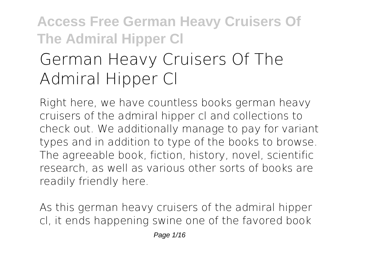# **Access Free German Heavy Cruisers Of The Admiral Hipper Cl German Heavy Cruisers Of The Admiral Hipper Cl**

Right here, we have countless books **german heavy cruisers of the admiral hipper cl** and collections to check out. We additionally manage to pay for variant types and in addition to type of the books to browse. The agreeable book, fiction, history, novel, scientific research, as well as various other sorts of books are readily friendly here.

As this german heavy cruisers of the admiral hipper cl, it ends happening swine one of the favored book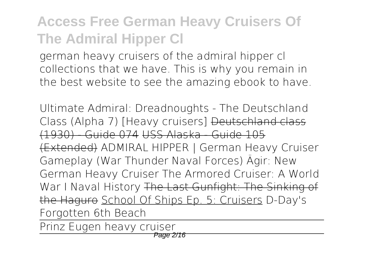german heavy cruisers of the admiral hipper cl collections that we have. This is why you remain in the best website to see the amazing ebook to have.

Ultimate Admiral: Dreadnoughts - The Deutschland Class (Alpha 7) [Heavy cruisers] Deutschland class (1930) - Guide 074 USS Alaska - Guide 105 (Extended) *ADMIRAL HIPPER | German Heavy Cruiser Gameplay (War Thunder Naval Forces) Ägir: New German Heavy Cruiser The Armored Cruiser: A World War I Naval History* The Last Gunfight: The Sinking of the Haguro School Of Ships Ep. 5: Cruisers *D-Day's Forgotten 6th Beach*

Prinz Eugen heavy cruiser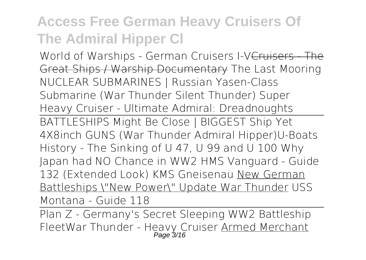World of Warships - German Cruisers I-VCruisers - The Great Ships / Warship Documentary *The Last Mooring NUCLEAR SUBMARINES | Russian Yasen-Class Submarine (War Thunder Silent Thunder) Super Heavy Cruiser - Ultimate Admiral: Dreadnoughts*

BATTLESHIPS Might Be Close | BIGGEST Ship Yet 4X8inch GUNS (War Thunder Admiral Hipper)**U-Boats History - The Sinking of U 47, U 99 and U 100 Why Japan had NO Chance in WW2** HMS Vanguard - Guide 132 (Extended Look) KMS Gneisenau New German Battleships \"New Power\" Update War Thunder **USS Montana - Guide 118**

Plan Z - Germany's Secret Sleeping WW2 Battleship Fleet**War Thunder - Heavy Cruiser** Armed Merchant Page 3/16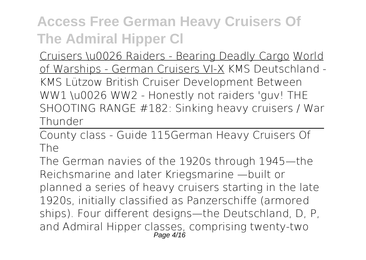Cruisers \u0026 Raiders - Bearing Deadly Cargo World of Warships - German Cruisers VI-X **KMS Deutschland - KMS Lützow British Cruiser Development Between WW1 \u0026 WW2 - Honestly not raiders 'guv! THE SHOOTING RANGE #182: Sinking heavy cruisers / War Thunder**

County class - Guide 115*German Heavy Cruisers Of The*

The German navies of the 1920s through 1945—the Reichsmarine and later Kriegsmarine —built or planned a series of heavy cruisers starting in the late 1920s, initially classified as Panzerschiffe (armored ships). Four different designs—the Deutschland, D, P, and Admiral Hipper classes, comprising twenty-two Page 4/16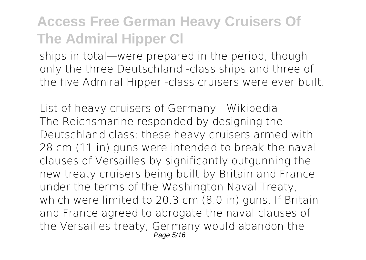ships in total—were prepared in the period, though only the three Deutschland -class ships and three of the five Admiral Hipper -class cruisers were ever built.

*List of heavy cruisers of Germany - Wikipedia* The Reichsmarine responded by designing the Deutschland class; these heavy cruisers armed with 28 cm (11 in) guns were intended to break the naval clauses of Versailles by significantly outgunning the new treaty cruisers being built by Britain and France under the terms of the Washington Naval Treaty, which were limited to 20.3 cm (8.0 in) guns. If Britain and France agreed to abrogate the naval clauses of the Versailles treaty, Germany would abandon the Page 5/16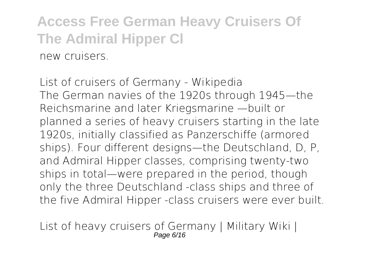**Access Free German Heavy Cruisers Of The Admiral Hipper Cl** new cruisers.

*List of cruisers of Germany - Wikipedia* The German navies of the 1920s through 1945—the Reichsmarine and later Kriegsmarine —built or planned a series of heavy cruisers starting in the late 1920s, initially classified as Panzerschiffe (armored ships). Four different designs—the Deutschland, D, P, and Admiral Hipper classes, comprising twenty-two ships in total—were prepared in the period, though only the three Deutschland -class ships and three of the five Admiral Hipper -class cruisers were ever built.

*List of heavy cruisers of Germany | Military Wiki |* Page 6/16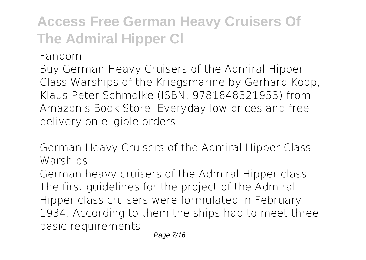*Fandom*

Buy German Heavy Cruisers of the Admiral Hipper Class Warships of the Kriegsmarine by Gerhard Koop, Klaus-Peter Schmolke (ISBN: 9781848321953) from Amazon's Book Store. Everyday low prices and free delivery on eligible orders.

*German Heavy Cruisers of the Admiral Hipper Class Warships ...*

German heavy cruisers of the Admiral Hipper class The first guidelines for the project of the Admiral Hipper class cruisers were formulated in February 1934. According to them the ships had to meet three basic requirements.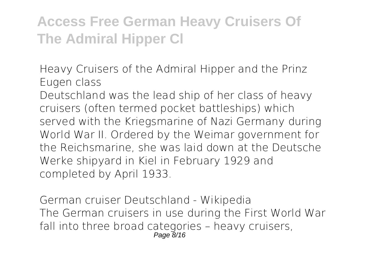*Heavy Cruisers of the Admiral Hipper and the Prinz Eugen class*

Deutschland was the lead ship of her class of heavy cruisers (often termed pocket battleships) which served with the Kriegsmarine of Nazi Germany during World War II. Ordered by the Weimar government for the Reichsmarine, she was laid down at the Deutsche Werke shipyard in Kiel in February 1929 and completed by April 1933.

*German cruiser Deutschland - Wikipedia* The German cruisers in use during the First World War fall into three broad categories – heavy cruisers, Page 8/16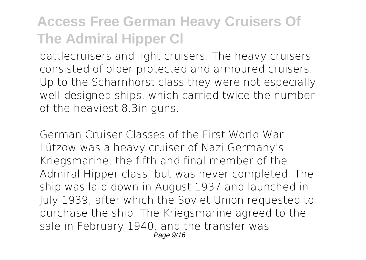battlecruisers and light cruisers. The heavy cruisers consisted of older protected and armoured cruisers. Up to the Scharnhorst class they were not especially well designed ships, which carried twice the number of the heaviest 8.3in guns.

*German Cruiser Classes of the First World War* Lützow was a heavy cruiser of Nazi Germany's Kriegsmarine, the fifth and final member of the Admiral Hipper class, but was never completed. The ship was laid down in August 1937 and launched in July 1939, after which the Soviet Union requested to purchase the ship. The Kriegsmarine agreed to the sale in February 1940, and the transfer was Page 9/16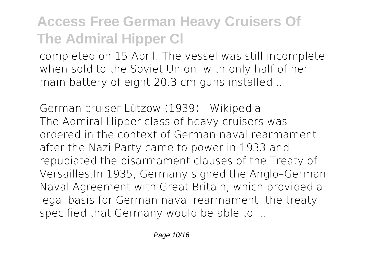completed on 15 April. The vessel was still incomplete when sold to the Soviet Union, with only half of her main battery of eight 20.3 cm guns installed ...

*German cruiser Lützow (1939) - Wikipedia* The Admiral Hipper class of heavy cruisers was ordered in the context of German naval rearmament after the Nazi Party came to power in 1933 and repudiated the disarmament clauses of the Treaty of Versailles.In 1935, Germany signed the Anglo–German Naval Agreement with Great Britain, which provided a legal basis for German naval rearmament; the treaty specified that Germany would be able to ...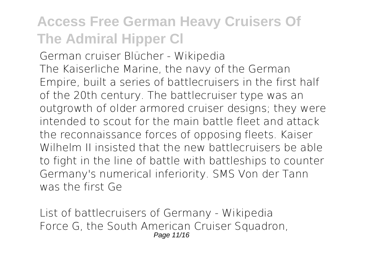*German cruiser Blücher - Wikipedia* The Kaiserliche Marine, the navy of the German Empire, built a series of battlecruisers in the first half of the 20th century. The battlecruiser type was an outgrowth of older armored cruiser designs; they were intended to scout for the main battle fleet and attack the reconnaissance forces of opposing fleets. Kaiser Wilhelm II insisted that the new battlecruisers be able to fight in the line of battle with battleships to counter Germany's numerical inferiority. SMS Von der Tann was the first Ge

*List of battlecruisers of Germany - Wikipedia* Force G, the South American Cruiser Squadron, Page 11/16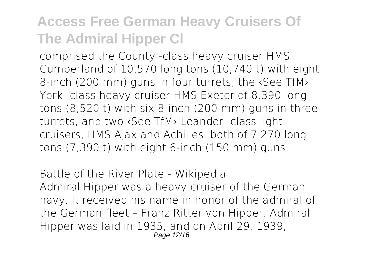comprised the County -class heavy cruiser HMS Cumberland of 10,570 long tons (10,740 t) with eight 8-inch (200 mm) guns in four turrets, the ‹See TfM› York -class heavy cruiser HMS Exeter of 8,390 long tons (8,520 t) with six 8-inch (200 mm) guns in three turrets, and two ‹See TfM› Leander -class light cruisers, HMS Ajax and Achilles, both of 7,270 long tons (7,390 t) with eight 6-inch (150 mm) guns.

*Battle of the River Plate - Wikipedia* Admiral Hipper was a heavy cruiser of the German navy. It received his name in honor of the admiral of the German fleet – Franz Ritter von Hipper. Admiral Hipper was laid in 1935, and on April 29, 1939, Page 12/16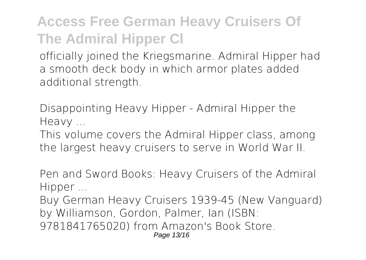officially joined the Kriegsmarine. Admiral Hipper had a smooth deck body in which armor plates added additional strength.

*Disappointing Heavy Hipper - Admiral Hipper the Heavy ...*

This volume covers the Admiral Hipper class, among the largest heavy cruisers to serve in World War II.

*Pen and Sword Books: Heavy Cruisers of the Admiral Hipper ...*

Buy German Heavy Cruisers 1939-45 (New Vanguard) by Williamson, Gordon, Palmer, Ian (ISBN: 9781841765020) from Amazon's Book Store. Page 13/16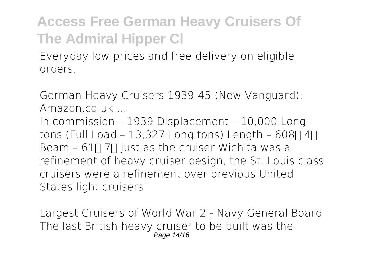Everyday low prices and free delivery on eligible orders.

*German Heavy Cruisers 1939-45 (New Vanguard): Amazon.co.uk ...*

In commission – 1939 Displacement – 10,000 Long tons (Full Load – 13,327 Long tons) Length – 608 $\Pi$  4 $\Pi$ Beam – 61 $\Pi$  7 $\Pi$  lust as the cruiser Wichita was a refinement of heavy cruiser design, the St. Louis class cruisers were a refinement over previous United States light cruisers.

*Largest Cruisers of World War 2 - Navy General Board* The last British heavy cruiser to be built was the Page 14/16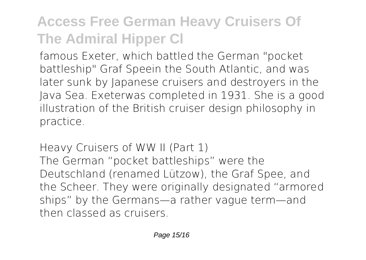famous Exeter, which battled the German "pocket battleship" Graf Speein the South Atlantic, and was later sunk by Japanese cruisers and destroyers in the Java Sea. Exeterwas completed in 1931. She is a good illustration of the British cruiser design philosophy in practice.

*Heavy Cruisers of WW II (Part 1)* The German "pocket battleships" were the Deutschland (renamed Lützow), the Graf Spee, and the Scheer. They were originally designated "armored ships" by the Germans—a rather vague term—and then classed as cruisers.